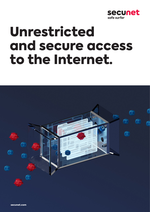

# Unrestricted and secure access to the Internet.



secunet.com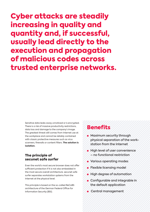Cyber attacks are steadily increasing in quality and quantity and, if successful, usually lead directly to the execution and propagation of malicious codes across trusted enterprise networks.

> Sensitive data leaks away unnoticed or is encrypted. There is a risk of massive productivity restrictions, data loss and damage to the company's image. The greatest threat still comes from Internet use at the workplace and cannot be reliably contained with classic protective measures such as virus scanners, firewalls or content filters. **The solution is isolation.**

### The principle of secunet safe surfer

Even the world's most secure browser does not offer sufficient protection if it is not also embedded in the most secure overall architecture. secunet safe surfer separates workstation systems from the Internet at the physical level.

This principle is based on the so-called ReCoBS architecture of the German Federal Office for Information Security (BSI).

## **Benefits**

- **■** Maximum security through physical separation of the workstation from the Internet
- **■** High level of user convenience – no functional restriction
- Various operating modes
- **■** Flexible licensing model
- High degree of automation
- **■** Configurable and integrable in the default application
- **■** ■Central management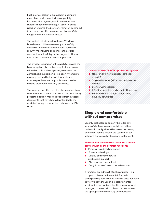Each browser session is executed in a compartmentalized environment within a specially hardened Linux system, which in turn runs in a separate network segment (DMZ) on so-called isolation systems. The browser is remotely controlled from the workstation via a secure channel. Only image and sound are transmitted.

The majority of attacks that target Windowsbased vulnerabilities are already successfully fended off in the Linux environment. Additional security mechanisms and zones in the overall architecture still reliably protect against attacks even if the browser has been compromised.

The physical separation of the workstation and the browser system also protects against hardwarerelated attacks such as Spectre, Meltdown, and ZombieLoad. In addition, all isolation systems are regularly restored to their original state in a tamper-proof manner. Any malicious code that may be present is effectively destroyed.

The user's workstation remains disconnected from the Internet at all times. The user is thus additionally protected against malicious codes from infected documents that have been downloaded to the workstation, e.g., via e-mail attachments or USB sticks.

#### **secunet safe surfer offers protection against**

- Novel and unknown attacks (zero-day exploits)
- **■** Targeted attacks (APT, Advanced persistent threats)
- **■** Browser vulnerabilities
- Infectious websites and e-mail attachments
- **■** Ransomware, Trojans, viruses, worms, drive-by downloads

#### Simple and comfortable without compromises

Security technologies can only be rolled out successfully if users are not restricted in their daily work. Ideally, they will not even notice any difference. For this reason, the usability of our solutions is always a key focus of development.

#### **The user uses secunet safe surfer like a native browser with all the comfort functions:**

- **■** Personal favorites/bookmarks
- **Password-free login**
- Display of all content with multimedia support
- File download and upload
- Copy & paste of texts in both directions

If functions are administratively restricted - e.g. no upload allowed - the user is informed via corresponding notifications. The user does not have to worry about the use of a local browser for sensitive intranet web applications. A conveniently managed browser switch allows the user to select the appropriate browser fully automatically.